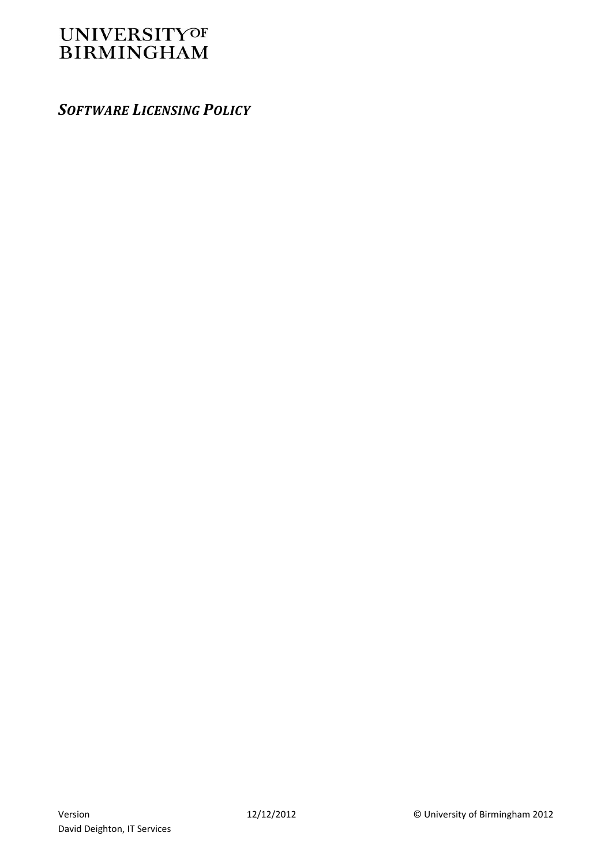# **UNIVERSITYOF BIRMINGHAM**

*SOFTWARE LICENSING POLICY*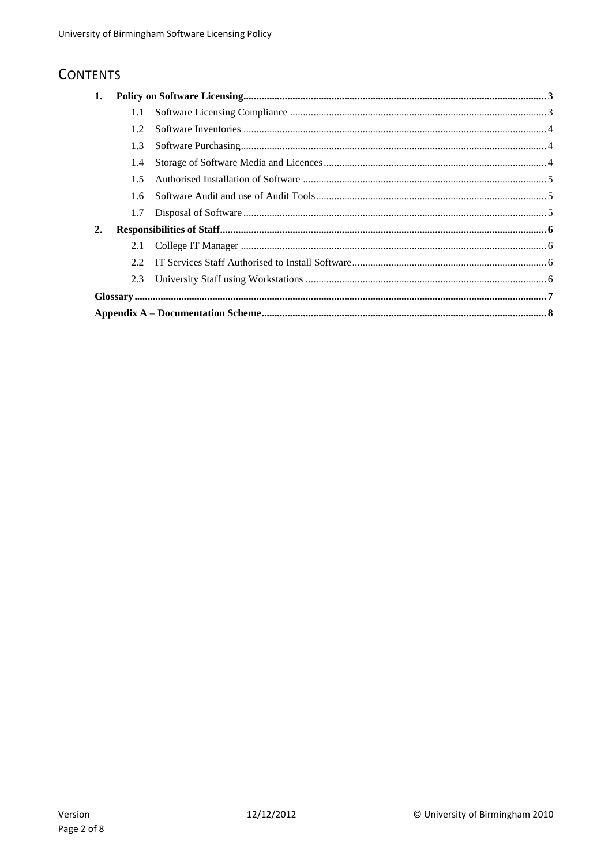# **CONTENTS**

| 1. |      |  |  |
|----|------|--|--|
|    | 1.1  |  |  |
|    | 1.2  |  |  |
|    | 1.3  |  |  |
|    | 1.4  |  |  |
|    | 1.5  |  |  |
|    | 1.6  |  |  |
|    | 1.7  |  |  |
| 2. |      |  |  |
|    | 2.1  |  |  |
|    | 2.2. |  |  |
|    | 2.3  |  |  |
|    |      |  |  |
|    |      |  |  |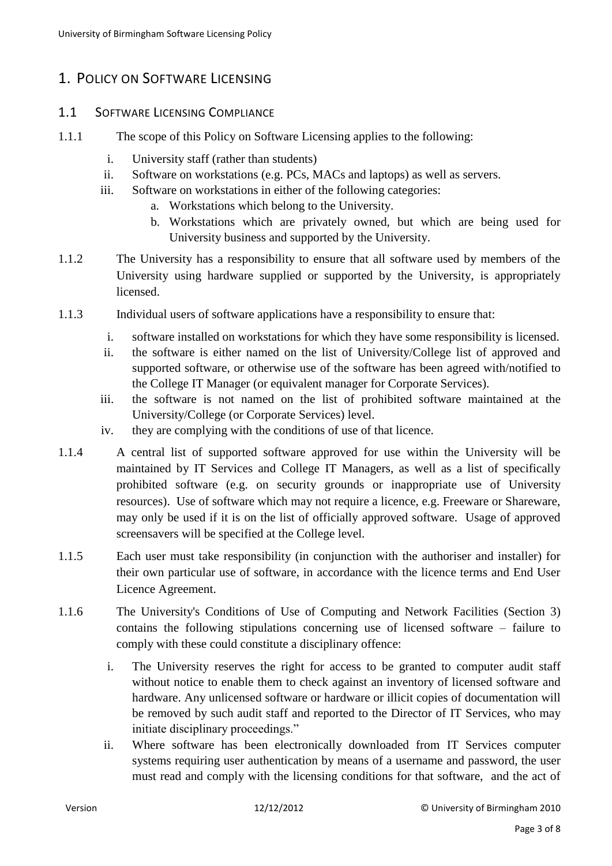### <span id="page-2-0"></span>1. POLICY ON SOFTWARE LICENSING

#### <span id="page-2-1"></span>1.1 SOFTWARE LICENSING COMPLIANCE

- 1.1.1 The scope of this Policy on Software Licensing applies to the following:
	- i. University staff (rather than students)
	- ii. Software on workstations (e.g. PCs, MACs and laptops) as well as servers.
	- iii. Software on workstations in either of the following categories:
		- a. Workstations which belong to the University.
		- b. Workstations which are privately owned, but which are being used for University business and supported by the University.
- 1.1.2 The University has a responsibility to ensure that all software used by members of the University using hardware supplied or supported by the University, is appropriately licensed.
- 1.1.3 Individual users of software applications have a responsibility to ensure that:
	- i. software installed on workstations for which they have some responsibility is licensed.
	- ii. the software is either named on the list of University/College list of approved and supported software, or otherwise use of the software has been agreed with/notified to the College IT Manager (or equivalent manager for Corporate Services).
	- iii. the software is not named on the list of prohibited software maintained at the University/College (or Corporate Services) level.
	- iv. they are complying with the conditions of use of that licence.
- 1.1.4 A central list of supported software approved for use within the University will be maintained by IT Services and College IT Managers, as well as a list of specifically prohibited software (e.g. on security grounds or inappropriate use of University resources). Use of software which may not require a licence, e.g. Freeware or Shareware, may only be used if it is on the list of officially approved software. Usage of approved screensavers will be specified at the College level.
- 1.1.5 Each user must take responsibility (in conjunction with the authoriser and installer) for their own particular use of software, in accordance with the licence terms and End User Licence Agreement.
- 1.1.6 The University's Conditions of Use of Computing and Network Facilities (Section 3) contains the following stipulations concerning use of licensed software – failure to comply with these could constitute a disciplinary offence:
	- i. The University reserves the right for access to be granted to computer audit staff without notice to enable them to check against an inventory of licensed software and hardware. Any unlicensed software or hardware or illicit copies of documentation will be removed by such audit staff and reported to the Director of IT Services, who may initiate disciplinary proceedings."
	- ii. Where software has been electronically downloaded from IT Services computer systems requiring user authentication by means of a username and password, the user must read and comply with the licensing conditions for that software, and the act of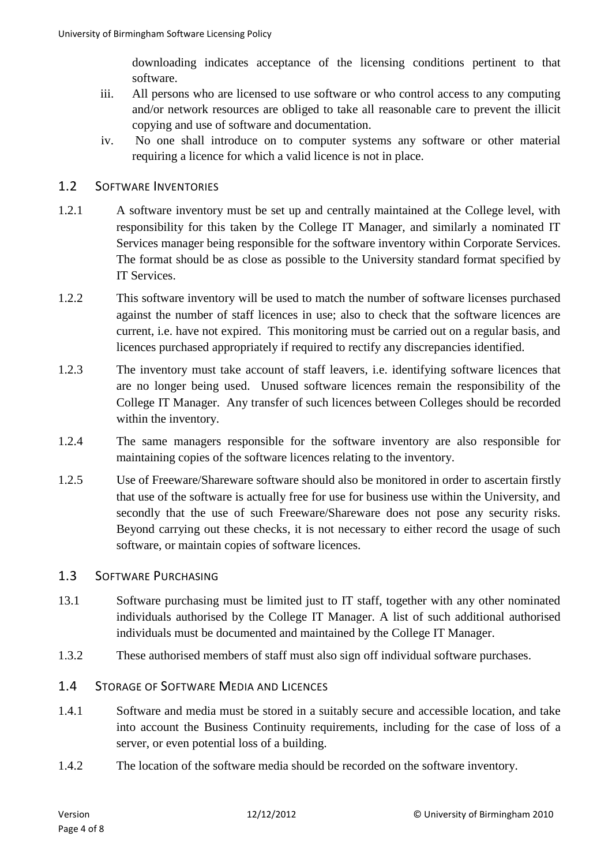downloading indicates acceptance of the licensing conditions pertinent to that software.

- iii. All persons who are licensed to use software or who control access to any computing and/or network resources are obliged to take all reasonable care to prevent the illicit copying and use of software and documentation.
- iv. No one shall introduce on to computer systems any software or other material requiring a licence for which a valid licence is not in place.

#### <span id="page-3-0"></span>1.2 SOFTWARE INVENTORIES

- 1.2.1 A software inventory must be set up and centrally maintained at the College level, with responsibility for this taken by the College IT Manager, and similarly a nominated IT Services manager being responsible for the software inventory within Corporate Services. The format should be as close as possible to the University standard format specified by IT Services.
- 1.2.2 This software inventory will be used to match the number of software licenses purchased against the number of staff licences in use; also to check that the software licences are current, i.e. have not expired. This monitoring must be carried out on a regular basis, and licences purchased appropriately if required to rectify any discrepancies identified.
- 1.2.3 The inventory must take account of staff leavers, i.e. identifying software licences that are no longer being used. Unused software licences remain the responsibility of the College IT Manager. Any transfer of such licences between Colleges should be recorded within the inventory.
- 1.2.4 The same managers responsible for the software inventory are also responsible for maintaining copies of the software licences relating to the inventory.
- 1.2.5 Use of Freeware/Shareware software should also be monitored in order to ascertain firstly that use of the software is actually free for use for business use within the University, and secondly that the use of such Freeware/Shareware does not pose any security risks. Beyond carrying out these checks, it is not necessary to either record the usage of such software, or maintain copies of software licences.

#### <span id="page-3-1"></span>1.3 SOFTWARE PURCHASING

- 13.1 Software purchasing must be limited just to IT staff, together with any other nominated individuals authorised by the College IT Manager. A list of such additional authorised individuals must be documented and maintained by the College IT Manager.
- 1.3.2 These authorised members of staff must also sign off individual software purchases.

#### <span id="page-3-2"></span>1.4 STORAGE OF SOFTWARE MEDIA AND LICENCES

- 1.4.1 Software and media must be stored in a suitably secure and accessible location, and take into account the Business Continuity requirements, including for the case of loss of a server, or even potential loss of a building.
- 1.4.2 The location of the software media should be recorded on the software inventory.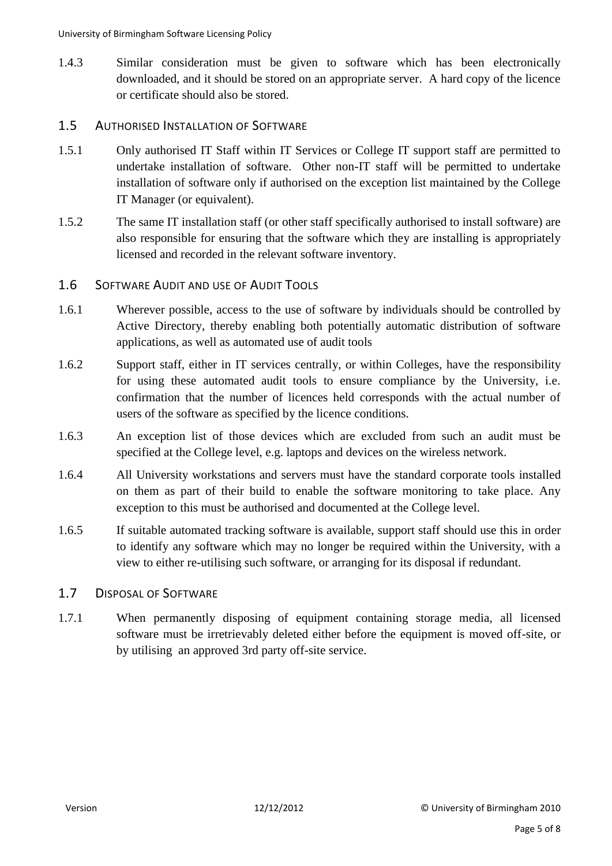- 1.4.3 Similar consideration must be given to software which has been electronically downloaded, and it should be stored on an appropriate server. A hard copy of the licence or certificate should also be stored.
- <span id="page-4-0"></span>1.5 AUTHORISED INSTALLATION OF SOFTWARE
- 1.5.1 Only authorised IT Staff within IT Services or College IT support staff are permitted to undertake installation of software. Other non-IT staff will be permitted to undertake installation of software only if authorised on the exception list maintained by the College IT Manager (or equivalent).
- 1.5.2 The same IT installation staff (or other staff specifically authorised to install software) are also responsible for ensuring that the software which they are installing is appropriately licensed and recorded in the relevant software inventory.

#### <span id="page-4-1"></span>1.6 SOFTWARE AUDIT AND USE OF AUDIT TOOLS

- 1.6.1 Wherever possible, access to the use of software by individuals should be controlled by Active Directory, thereby enabling both potentially automatic distribution of software applications, as well as automated use of audit tools
- 1.6.2 Support staff, either in IT services centrally, or within Colleges, have the responsibility for using these automated audit tools to ensure compliance by the University, i.e. confirmation that the number of licences held corresponds with the actual number of users of the software as specified by the licence conditions.
- 1.6.3 An exception list of those devices which are excluded from such an audit must be specified at the College level, e.g. laptops and devices on the wireless network.
- 1.6.4 All University workstations and servers must have the standard corporate tools installed on them as part of their build to enable the software monitoring to take place. Any exception to this must be authorised and documented at the College level.
- 1.6.5 If suitable automated tracking software is available, support staff should use this in order to identify any software which may no longer be required within the University, with a view to either re-utilising such software, or arranging for its disposal if redundant.

#### <span id="page-4-2"></span>1.7 DISPOSAL OF SOFTWARE

1.7.1 When permanently disposing of equipment containing storage media, all licensed software must be irretrievably deleted either before the equipment is moved off-site, or by utilising an approved 3rd party off-site service.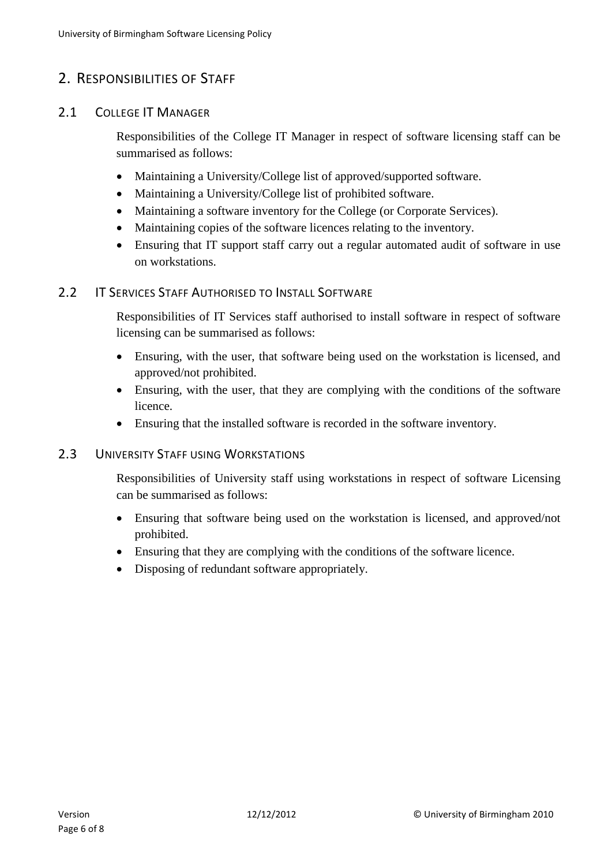### <span id="page-5-0"></span>2. RESPONSIBILITIES OF STAFF

#### <span id="page-5-1"></span>2.1 COLLEGE IT MANAGER

Responsibilities of the College IT Manager in respect of software licensing staff can be summarised as follows:

- Maintaining a University/College list of approved/supported software.
- Maintaining a University/College list of prohibited software.
- Maintaining a software inventory for the College (or Corporate Services).
- Maintaining copies of the software licences relating to the inventory.
- Ensuring that IT support staff carry out a regular automated audit of software in use on workstations.

#### <span id="page-5-2"></span>2.2 **IT SERVICES STAFF AUTHORISED TO INSTALL SOFTWARE**

Responsibilities of IT Services staff authorised to install software in respect of software licensing can be summarised as follows:

- Ensuring, with the user, that software being used on the workstation is licensed, and approved/not prohibited.
- Ensuring, with the user, that they are complying with the conditions of the software licence.
- Ensuring that the installed software is recorded in the software inventory.

#### <span id="page-5-3"></span>2.3 UNIVERSITY STAFF USING WORKSTATIONS

Responsibilities of University staff using workstations in respect of software Licensing can be summarised as follows:

- Ensuring that software being used on the workstation is licensed, and approved/not prohibited.
- Ensuring that they are complying with the conditions of the software licence.
- Disposing of redundant software appropriately.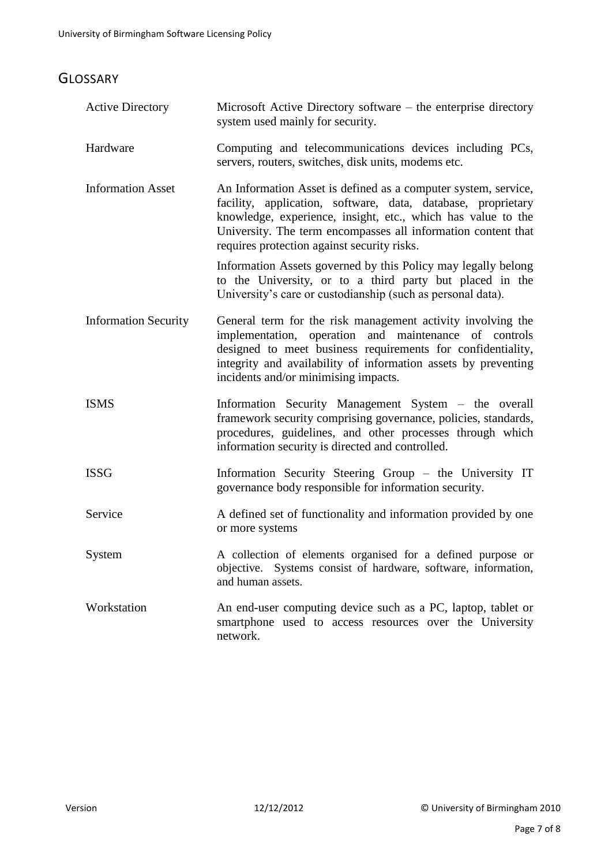# <span id="page-6-0"></span>**GLOSSARY**

| <b>Active Directory</b>     | Microsoft Active Directory software – the enterprise directory<br>system used mainly for security.                                                                                                                                                                                                             |
|-----------------------------|----------------------------------------------------------------------------------------------------------------------------------------------------------------------------------------------------------------------------------------------------------------------------------------------------------------|
| Hardware                    | Computing and telecommunications devices including PCs,<br>servers, routers, switches, disk units, modems etc.                                                                                                                                                                                                 |
| <b>Information Asset</b>    | An Information Asset is defined as a computer system, service,<br>facility, application, software, data, database, proprietary<br>knowledge, experience, insight, etc., which has value to the<br>University. The term encompasses all information content that<br>requires protection against security risks. |
|                             | Information Assets governed by this Policy may legally belong<br>to the University, or to a third party but placed in the<br>University's care or custodianship (such as personal data).                                                                                                                       |
| <b>Information Security</b> | General term for the risk management activity involving the<br>implementation, operation and maintenance of controls<br>designed to meet business requirements for confidentiality,<br>integrity and availability of information assets by preventing<br>incidents and/or minimising impacts.                  |
| <b>ISMS</b>                 | Information Security Management System – the overall<br>framework security comprising governance, policies, standards,<br>procedures, guidelines, and other processes through which<br>information security is directed and controlled.                                                                        |
| <b>ISSG</b>                 | Information Security Steering Group – the University IT<br>governance body responsible for information security.                                                                                                                                                                                               |
| Service                     | A defined set of functionality and information provided by one<br>or more systems                                                                                                                                                                                                                              |
| System                      | A collection of elements organised for a defined purpose or<br>objective. Systems consist of hardware, software, information,<br>and human assets.                                                                                                                                                             |
| Workstation                 | An end-user computing device such as a PC, laptop, tablet or<br>smartphone used to access resources over the University<br>network.                                                                                                                                                                            |